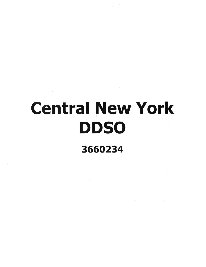## Central New York **DDSO**

3660234